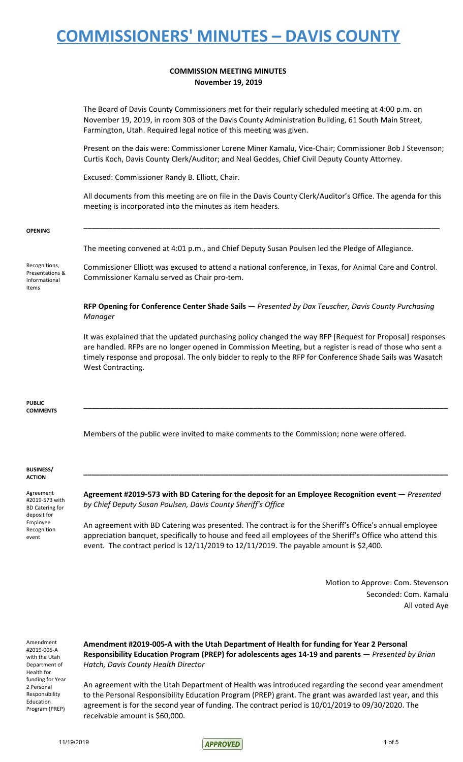#### **COMMISSION MEETING MINUTES November 19, 2019**

The Board of Davis County Commissioners met for their regularly scheduled meeting at 4:00 p.m. on November 19, 2019, in room 303 of the Davis County Administration Building, 61 South Main Street, Farmington, Utah. Required legal notice of this meeting was given.

Present on the dais were: Commissioner Lorene Miner Kamalu, Vice-Chair; Commissioner Bob J Stevenson; Curtis Koch, Davis County Clerk/Auditor; and Neal Geddes, Chief Civil Deputy County Attorney.

Excused: Commissioner Randy B. Elliott, Chair.

All documents from this meeting are on file in the Davis County Clerk/Auditor's Office. The agenda for this meeting is incorporated into the minutes as item headers.

**\_\_\_\_\_\_\_\_\_\_\_\_\_\_\_\_\_\_\_\_\_\_\_\_\_\_\_\_\_\_\_\_\_\_\_\_\_\_\_\_\_\_\_\_\_\_\_\_\_\_\_\_\_\_\_\_\_\_\_\_\_\_\_\_\_\_\_\_\_\_\_\_\_\_\_\_\_\_\_\_\_\_\_\_\_\_**

#### **OPENING**

The meeting convened at 4:01 p.m., and Chief Deputy Susan Poulsen led the Pledge of Allegiance.

Recognitions, Presentations & Informational Items

Commissioner Elliott was excused to attend a national conference, in Texas, for Animal Care and Control. Commissioner Kamalu served as Chair pro-tem.

**RFP Opening for Conference Center Shade Sails** — *Presented by Dax Teuscher, Davis County Purchasing Manager*

It was explained that the updated purchasing policy changed the way RFP [Request for Proposal] responses are handled. RFPs are no longer opened in Commission Meeting, but a register is read of those who sent a timely response and proposal. The only bidder to reply to the RFP for Conference Shade Sails was Wasatch West Contracting.

**\_\_\_\_\_\_\_\_\_\_\_\_\_\_\_\_\_\_\_\_\_\_\_\_\_\_\_\_\_\_\_\_\_\_\_\_\_\_\_\_\_\_\_\_\_\_\_\_\_\_\_\_\_\_\_\_\_\_\_\_\_\_\_\_\_\_\_\_\_\_\_\_\_\_\_\_\_\_\_\_\_\_\_\_\_\_\_\_**

#### **PUBLIC COMMENTS**

Members of the public were invited to make comments to the Commission; none were offered.

#### **BUSINESS/ ACTION**

Agreement #2019-573 with BD Catering for deposit for Employee Recognition event

**Agreement #2019-573 with BD Catering for the deposit for an Employee Recognition event** — *Presented by Chief Deputy Susan Poulsen, Davis County Sheriff's Office*

**\_\_\_\_\_\_\_\_\_\_\_\_\_\_\_\_\_\_\_\_\_\_\_\_\_\_\_\_\_\_\_\_\_\_\_\_\_\_\_\_\_\_\_\_\_\_\_\_\_\_\_\_\_\_\_\_\_\_\_\_\_\_\_\_\_\_\_\_\_\_\_\_\_\_\_\_\_\_\_\_\_\_\_\_\_\_\_\_**

An agreement with BD Catering was presented. The contract is for the Sheriff's Office's annual employee appreciation banquet, specifically to house and feed all employees of the Sheriff's Office who attend this event. The contract period is 12/11/2019 to 12/11/2019. The payable amount is \$2,400.

> Motion to Approve: Com. Stevenson Seconded: Com. Kamalu All voted Aye

Amendment #2019-005-A with the Utah Department of Health for funding for Year 2 Personal Responsibility Education Program (PREP)

**Amendment #2019-005-A with the Utah Department of Health for funding for Year 2 Personal Responsibility Education Program (PREP) for adolescents ages 14-19 and parents** — *Presented by Brian Hatch, Davis County Health Director*

An agreement with the Utah Department of Health was introduced regarding the second year amendment to the Personal Responsibility Education Program (PREP) grant. The grant was awarded last year, and this agreement is for the second year of funding. The contract period is 10/01/2019 to 09/30/2020. The receivable amount is \$60,000.

11/19/2019 10f 5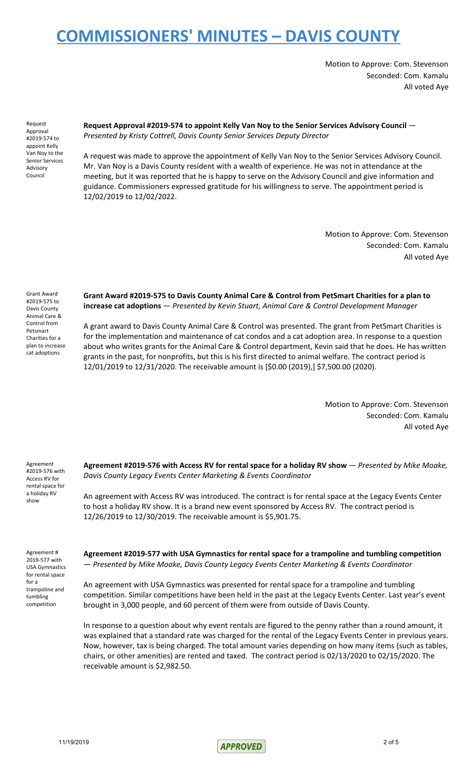Motion to Approve: Com. Stevenson Seconded: Com. Kamalu All voted Aye

Request Approval #2019-574 to appoint Kelly Van Noy to the Senior Services Advisory Council

**Request Approval #2019-574 to appoint Kelly Van Noy to the Senior Services Advisory Council** — *Presented by Kristy Cottrell, Davis County Senior Services Deputy Director*

A request was made to approve the appointment of Kelly Van Noy to the Senior Services Advisory Council. Mr. Van Noy is a Davis County resident with a wealth of experience. He was not in attendance at the meeting, but it was reported that he is happy to serve on the Advisory Council and give information and guidance. Commissioners expressed gratitude for his willingness to serve. The appointment period is 12/02/2019 to 12/02/2022.

> Motion to Approve: Com. Stevenson Seconded: Com. Kamalu All voted Aye

Grant Award #2019-575 to Davis County Animal Care & Control from Petsmart Charities for a plan to increase cat adoptions

**Grant Award #2019-575 to Davis County Animal Care & Control from PetSmart Charities for a plan to increase cat adoptions** — *Presented by Kevin Stuart, Animal Care & Control Development Manager*

A grant award to Davis County Animal Care & Control was presented. The grant from PetSmart Charities is for the implementation and maintenance of cat condos and a cat adoption area. In response to a question about who writes grants for the Animal Care & Control department, Kevin said that he does. He has written grants in the past, for nonprofits, but this is his first directed to animal welfare. The contract period is 12/01/2019 to 12/31/2020. The receivable amount is [\$0.00 (2019),] \$7,500.00 (2020).

> Motion to Approve: Com. Stevenson Seconded: Com. Kamalu All voted Aye

Agreement #2019-576 with Access RV for rental space for a holiday RV show

**Agreement #2019-576 with Access RV for rental space for a holiday RV show** — *Presented by Mike Moake, Davis County Legacy Events Center Marketing & Events Coordinator*

An agreement with Access RV was introduced. The contract is for rental space at the Legacy Events Center to host a holiday RV show. It is a brand new event sponsored by Access RV. The contract period is 12/26/2019 to 12/30/2019. The receivable amount is \$5,901.75.

Agreement # 2019-577 with USA Gymnastics for rental space for a trampoline and tumbling competition

**Agreement #2019-577 with USA Gymnastics for rental space for a trampoline and tumbling competition** — *Presented by Mike Moake, Davis County Legacy Events Center Marketing & Events Coordinator*

An agreement with USA Gymnastics was presented for rental space for a trampoline and tumbling competition. Similar competitions have been held in the past at the Legacy Events Center. Last year's event brought in 3,000 people, and 60 percent of them were from outside of Davis County.

In response to a question about why event rentals are figured to the penny rather than a round amount, it was explained that a standard rate was charged for the rental of the Legacy Events Center in previous years. Now, however, tax is being charged. The total amount varies depending on how many items (such as tables, chairs, or other amenities) are rented and taxed. The contract period is 02/13/2020 to 02/15/2020. The receivable amount is \$2,982.50.

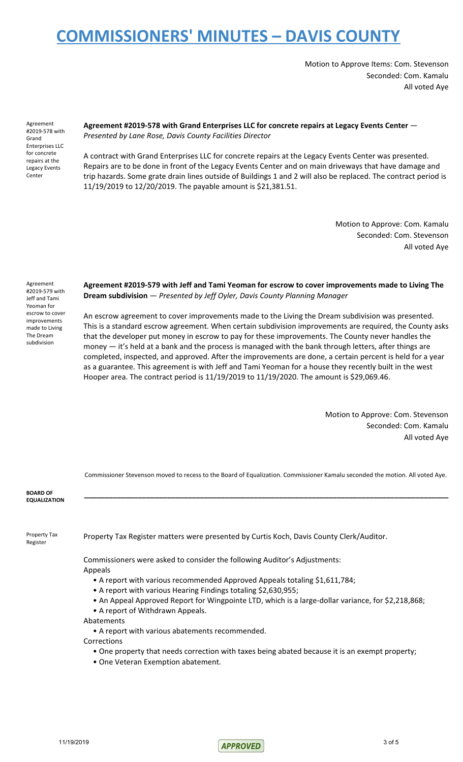Motion to Approve Items: Com. Stevenson Seconded: Com. Kamalu All voted Aye

Agreement #2019-578 with Grand Enterprises LLC for concrete repairs at the Legacy Events Center

**Agreement #2019-578 with Grand Enterprises LLC for concrete repairs at Legacy Events Center** — *Presented by Lane Rose, Davis County Facilities Director*

A contract with Grand Enterprises LLC for concrete repairs at the Legacy Events Center was presented. Repairs are to be done in front of the Legacy Events Center and on main driveways that have damage and trip hazards. Some grate drain lines outside of Buildings 1 and 2 will also be replaced. The contract period is 11/19/2019 to 12/20/2019. The payable amount is \$21,381.51.

> Motion to Approve: Com. Kamalu Seconded: Com. Stevenson All voted Aye

Agreement #2019-579 with Jeff and Tami Yeoman for escrow to cover improvements made to Living The Dream subdivision

**Agreement #2019-579 with Jeff and Tami Yeoman for escrow to cover improvements made to Living The Dream subdivision** — *Presented by Jeff Oyler, Davis County Planning Manager*

An escrow agreement to cover improvements made to the Living the Dream subdivision was presented. This is a standard escrow agreement. When certain subdivision improvements are required, the County asks that the developer put money in escrow to pay for these improvements. The County never handles the money — it's held at a bank and the process is managed with the bank through letters, after things are completed, inspected, and approved. After the improvements are done, a certain percent is held for a year as a guarantee. This agreement is with Jeff and Tami Yeoman for a house they recently built in the west Hooper area. The contract period is 11/19/2019 to 11/19/2020. The amount is \$29,069.46.

> Motion to Approve: Com. Stevenson Seconded: Com. Kamalu All voted Aye

Commissioner Stevenson moved to recess to the Board of Equalization. Commissioner Kamalu seconded the motion. All voted Aye.

**\_\_\_\_\_\_\_\_\_\_\_\_\_\_\_\_\_\_\_\_\_\_\_\_\_\_\_\_\_\_\_\_\_\_\_\_\_\_\_\_\_\_\_\_\_\_\_\_\_\_\_\_\_\_\_\_\_\_\_\_\_\_\_\_\_\_\_\_\_\_\_\_\_\_\_\_\_\_\_\_\_\_\_\_\_\_\_\_**

**BOARD OF EQUALIZATION**

Property Tax Register

Property Tax Register matters were presented by Curtis Koch, Davis County Clerk/Auditor.

Commissioners were asked to consider the following Auditor's Adjustments: Appeals

- A report with various recommended Approved Appeals totaling \$1,611,784;
- A report with various Hearing Findings totaling \$2,630,955;
- An Appeal Approved Report for Wingpointe LTD, which is a large-dollar variance, for \$2,218,868;
- A report of Withdrawn Appeals.

Abatements

• A report with various abatements recommended.

Corrections

- One property that needs correction with taxes being abated because it is an exempt property;
- One Veteran Exemption abatement.

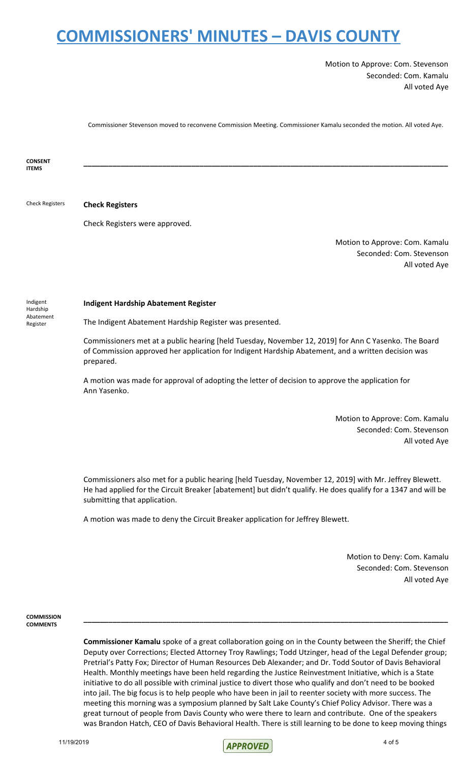Motion to Approve: Com. Stevenson Seconded: Com. Kamalu All voted Aye

Commissioner Stevenson moved to reconvene Commission Meeting. Commissioner Kamalu seconded the motion. All voted Aye.

**\_\_\_\_\_\_\_\_\_\_\_\_\_\_\_\_\_\_\_\_\_\_\_\_\_\_\_\_\_\_\_\_\_\_\_\_\_\_\_\_\_\_\_\_\_\_\_\_\_\_\_\_\_\_\_\_\_\_\_\_\_\_\_\_\_\_\_\_\_\_\_\_\_\_\_\_\_\_\_\_\_\_\_\_\_\_\_\_**

**CONSENT ITEMS**

Check Registers **Check Registers**

Check Registers were approved.

Motion to Approve: Com. Kamalu Seconded: Com. Stevenson All voted Aye

Indigent Hardship Abatement Register

#### **Indigent Hardship Abatement Register**

The Indigent Abatement Hardship Register was presented.

Commissioners met at a public hearing [held Tuesday, November 12, 2019] for Ann C Yasenko. The Board of Commission approved her application for Indigent Hardship Abatement, and a written decision was prepared.

A motion was made for approval of adopting the letter of decision to approve the application for Ann Yasenko.

> Motion to Approve: Com. Kamalu Seconded: Com. Stevenson All voted Aye

Commissioners also met for a public hearing [held Tuesday, November 12, 2019] with Mr. Jeffrey Blewett. He had applied for the Circuit Breaker [abatement] but didn't qualify. He does qualify for a 1347 and will be submitting that application.

A motion was made to deny the Circuit Breaker application for Jeffrey Blewett.

Motion to Deny: Com. Kamalu Seconded: Com. Stevenson All voted Aye

**COMMISSION COMMENTS**

> **Commissioner Kamalu** spoke of a great collaboration going on in the County between the Sheriff; the Chief Deputy over Corrections; Elected Attorney Troy Rawlings; Todd Utzinger, head of the Legal Defender group; Pretrial's Patty Fox; Director of Human Resources Deb Alexander; and Dr. Todd Soutor of Davis Behavioral Health. Monthly meetings have been held regarding the Justice Reinvestment Initiative, which is a State initiative to do all possible with criminal justice to divert those who qualify and don't need to be booked into jail. The big focus is to help people who have been in jail to reenter society with more success. The meeting this morning was a symposium planned by Salt Lake County's Chief Policy Advisor. There was a great turnout of people from Davis County who were there to learn and contribute. One of the speakers was Brandon Hatch, CEO of Davis Behavioral Health. There is still learning to be done to keep moving things

> **\_\_\_\_\_\_\_\_\_\_\_\_\_\_\_\_\_\_\_\_\_\_\_\_\_\_\_\_\_\_\_\_\_\_\_\_\_\_\_\_\_\_\_\_\_\_\_\_\_\_\_\_\_\_\_\_\_\_\_\_\_\_\_\_\_\_\_\_\_\_\_\_\_\_\_\_\_\_\_\_\_\_\_\_\_\_\_\_**